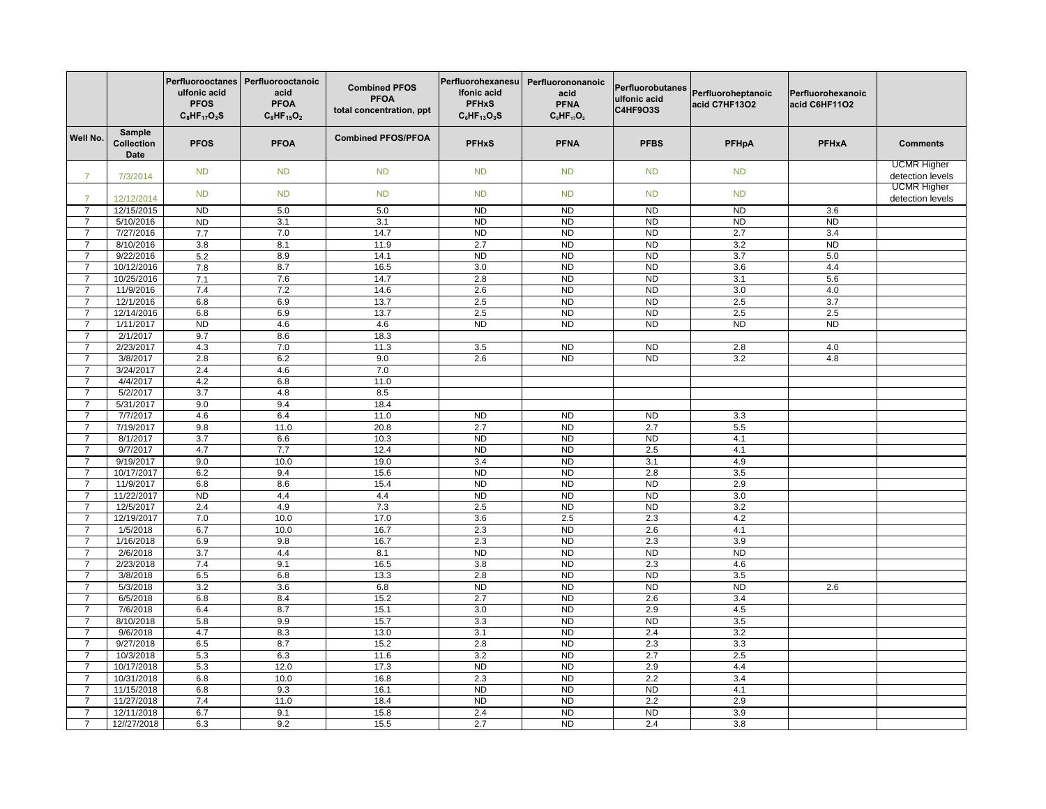| Sample<br>Well No.<br><b>Combined PFOS/PFOA</b><br><b>PFOS</b><br><b>PFNA</b><br><b>PFHxA</b><br>Collection<br><b>PFOA</b><br><b>PFHxS</b><br><b>PFBS</b><br><b>PFHpA</b><br><b>Comments</b><br>Date<br><b>UCMR Higher</b><br><b>ND</b><br><b>ND</b><br><b>ND</b><br><b>ND</b><br><b>ND</b><br><b>ND</b><br><b>ND</b><br>detection levels<br>7/3/2014<br><b>UCMR Higher</b><br><b>ND</b><br><b>ND</b><br><b>ND</b><br><b>ND</b><br><b>ND</b><br><b>ND</b><br><b>ND</b><br>detection levels<br>12/12/2014<br>12/15/2015<br>5.0<br>5.0<br>N <sub>D</sub><br>N <sub>D</sub><br><b>ND</b><br><b>ND</b><br>3.6<br>$\overline{7}$<br><b>ND</b><br>5/10/2016<br><b>ND</b><br>3.1<br>3.1<br><b>ND</b><br><b>ND</b><br><b>ND</b><br><b>ND</b><br><b>ND</b><br>$\overline{7}$<br>7/27/2016<br>7.7<br>7.0<br>14.7<br>N <sub>D</sub><br><b>ND</b><br>N <sub>D</sub><br>2.7<br>3.4<br>$\overline{7}$<br>2.7<br><b>ND</b><br><b>ND</b><br>8.1<br>11.9<br><b>ND</b><br>3.2<br>8/10/2016<br>3.8<br>$\overline{7}$<br><b>ND</b><br><b>ND</b><br>3.7<br>9/22/2016<br>8.9<br>14.1<br><b>ND</b><br>5.0<br>5.2<br>$\overline{7}$<br>8.7<br>16.5<br>3.0<br>N <sub>D</sub><br>N <sub>D</sub><br>$\overline{7}$<br>10/12/2016<br>3.6<br>4.4<br>7.8<br>7.6<br>2.8<br>ND<br>ND<br>3.1<br>5.6<br>10/25/2016<br>14.7<br>$\overline{7}$<br>7.1<br>11/9/2016<br>7.4<br>7.2<br>14.6<br>2.6<br>N <sub>D</sub><br><b>ND</b><br>3.0<br>4.0<br>$\overline{7}$<br>6.8<br>6.9<br>13.7<br>2.5<br>N <sub>D</sub><br>N <sub>D</sub><br>2.5<br>$\overline{3.7}$<br>12/1/2016<br>$\overline{7}$<br>2.5<br>12/14/2016<br>6.8<br>6.9<br>13.7<br>2.5<br>N <sub>D</sub><br>N <sub>D</sub><br>2.5<br>$\overline{7}$<br>4.6<br><b>ND</b><br><b>ND</b><br><b>ND</b><br>N <sub>D</sub><br>4.6<br>N <sub>D</sub><br>N <sub>D</sub><br>$\overline{7}$<br>1/11/2017<br>2/1/2017<br>9.7<br>8.6<br>18.3<br>$\overline{7}$<br>$\overline{7}$<br>2/23/2017<br>4.3<br>7.0<br>11.3<br>3.5<br><b>ND</b><br><b>ND</b><br>2.8<br>4.0<br>6.2<br>9.0<br>2.6<br>ND<br>$\overline{ND}$<br>$\overline{3.2}$<br>4.8<br>3/8/2017<br>2.8<br>$\overline{7}$<br>7.0<br>$\overline{7}$<br>3/24/2017<br>2.4<br>4.6<br>4/4/2017<br>4.2<br>6.8<br>11.0<br>$\overline{7}$<br>5/2/2017<br>3.7<br>4.8<br>8.5<br>$\overline{7}$<br>$\overline{7}$<br>5/31/2017<br>9.0<br>9.4<br>18.4<br>7/7/2017<br>4.6<br>6.4<br>11.0<br>N <sub>D</sub><br>N <sub>D</sub><br>ND<br>3.3<br>$\overline{7}$<br>20.8<br>2.7<br><b>ND</b><br>2.7<br>5.5<br>7/19/2017<br>9.8<br>11.0<br>$\overline{7}$<br><b>ND</b><br>6.6<br>N <sub>D</sub><br>ND<br>4.1<br>8/1/2017<br>3.7<br>10.3<br>$\overline{7}$<br>9/7/2017<br>N <sub>D</sub><br>N <sub>D</sub><br>4.7<br>7.7<br>12.4<br>2.5<br>4.1<br>$\overline{7}$<br>9/19/2017<br>9.0<br>10.0<br>19.0<br>3.4<br>N <sub>D</sub><br>3.1<br>4.9<br>$\overline{7}$<br>9.4<br>N <sub>D</sub><br>ND<br>3.5<br>10/17/2017<br>6.2<br>15.6<br>2.8<br>$\overline{7}$<br>11/9/2017<br>8.6<br>15.4<br>N <sub>D</sub><br>N <sub>D</sub><br>N <sub>D</sub><br>2.9<br>$\overline{7}$<br>6.8<br><b>ND</b><br><b>ND</b><br><b>ND</b><br><b>ND</b><br>4.4<br>4.4<br>3.0<br>11/22/2017<br>$\overline{7}$<br>2.5<br>3.2<br>12/5/2017<br>2.4<br>4.9<br>7.3<br>N <sub>D</sub><br>ND<br>$\overline{7}$<br>10.0<br>3.6<br>2.5<br>4.2<br>12/19/2017<br>7.0<br>17.0<br>2.3<br>$\overline{7}$<br>1/5/2018<br>6.7<br>10.0<br>16.7<br>2.3<br>N <sub>D</sub><br>2.6<br>4.1<br>7<br>2.3<br>N <sub>D</sub><br>3.9<br>$\overline{7}$<br>1/16/2018<br>6.9<br>9.8<br>16.7<br>2.3<br>2/6/2018<br>3.7<br>4.4<br>8.1<br>N <sub>D</sub><br>N <sub>D</sub><br>ND<br>ND<br>$\overline{7}$<br>2/23/2018<br>7.4<br>9.1<br>3.8<br>N <sub>D</sub><br>2.3<br>4.6<br>$\overline{7}$<br>16.5<br><b>ND</b><br>6.8<br>13.3<br>2.8<br><b>ND</b><br>3.5<br>3/8/2018<br>6.5<br>$\overline{7}$<br>N <sub>D</sub><br>N <sub>D</sub><br>ND<br>5/3/2018<br>3.2<br>3.6<br>6.8<br><b>ND</b><br>2.6<br>$\overline{7}$<br>6/5/2018<br>8.4<br>15.2<br>2.7<br>N <sub>D</sub><br>2.6<br>3.4<br>$\overline{7}$<br>6.8<br>N <sub>D</sub><br>7/6/2018<br>6.4<br>8.7<br>15.1<br>$3.0\,$<br>2.9<br>4.5<br>$\overline{7}$<br>8/10/2018<br>5.8<br>9.9<br>15.7<br>3.3<br>N <sub>D</sub><br>N <sub>D</sub><br>3.5<br>$\overline{7}$<br>8.3<br>3.1<br>N <sub>D</sub><br>3.2<br>9/6/2018<br>4.7<br>13.0<br>2.4<br>$\overline{7}$<br><b>ND</b><br>9/27/2018<br>6.5<br>8.7<br>15.2<br>2.8<br>2.3<br>3.3<br>$\overline{7}$<br>10/3/2018<br>5.3<br>6.3<br>11.6<br>3.2<br><b>ND</b><br>2.7<br>2.5<br>$\overline{7}$<br><b>ND</b><br><b>ND</b><br>10/17/2018<br>5.3<br>12.0<br>17.3<br>2.9<br>4.4<br>$\overline{7}$<br>10/31/2018<br>10.0<br>2.3<br><b>ND</b><br>2.2<br>3.4<br>$\overline{7}$<br>6.8<br>16.8<br>9.3<br>16.1<br>N <sub>D</sub><br>N <sub>D</sub><br>N <sub>D</sub><br>4.1<br>11/15/2018<br>6.8<br>$\overline{7}$<br><b>ND</b><br><b>ND</b><br>2.2<br>2.9<br>11/27/2018<br>7.4<br>11.0<br>18.4<br>$\overline{7}$<br>N <sub>D</sub><br>12/11/2018<br>6.7<br>9.1<br>15.8<br>2.4<br><b>ND</b><br>3.9<br>$\overline{7}$<br>9.2<br>2.7<br>N <sub>D</sub><br>2.4<br>3.8<br>12//27/2018<br>6.3<br>15.5<br>$\overline{7}$ |  | Perfluorooctanes<br>ulfonic acid<br><b>PFOS</b><br>$C_8HF_{17}O_3S$ | Perfluorooctanoic<br>acid<br><b>PFOA</b><br>$C_8HF_{15}O_2$ | <b>Combined PFOS</b><br><b>PFOA</b><br>total concentration, ppt | Perfluorohexanesu<br>Ifonic acid<br><b>PFHxS</b><br>$C_6$ HF <sub>13</sub> O <sub>3</sub> S | Perfluorononanoic<br>acid<br><b>PFNA</b><br>$C9HF17O2$ | Perfluorobutanes<br>ulfonic acid<br>C4HF9O3S | Perfluoroheptanoic<br>acid C7HF13O2 | Perfluorohexanoic<br>acid C6HF11O2 |  |
|--------------------------------------------------------------------------------------------------------------------------------------------------------------------------------------------------------------------------------------------------------------------------------------------------------------------------------------------------------------------------------------------------------------------------------------------------------------------------------------------------------------------------------------------------------------------------------------------------------------------------------------------------------------------------------------------------------------------------------------------------------------------------------------------------------------------------------------------------------------------------------------------------------------------------------------------------------------------------------------------------------------------------------------------------------------------------------------------------------------------------------------------------------------------------------------------------------------------------------------------------------------------------------------------------------------------------------------------------------------------------------------------------------------------------------------------------------------------------------------------------------------------------------------------------------------------------------------------------------------------------------------------------------------------------------------------------------------------------------------------------------------------------------------------------------------------------------------------------------------------------------------------------------------------------------------------------------------------------------------------------------------------------------------------------------------------------------------------------------------------------------------------------------------------------------------------------------------------------------------------------------------------------------------------------------------------------------------------------------------------------------------------------------------------------------------------------------------------------------------------------------------------------------------------------------------------------------------------------------------------------------------------------------------------------------------------------------------------------------------------------------------------------------------------------------------------------------------------------------------------------------------------------------------------------------------------------------------------------------------------------------------------------------------------------------------------------------------------------------------------------------------------------------------------------------------------------------------------------------------------------------------------------------------------------------------------------------------------------------------------------------------------------------------------------------------------------------------------------------------------------------------------------------------------------------------------------------------------------------------------------------------------------------------------------------------------------------------------------------------------------------------------------------------------------------------------------------------------------------------------------------------------------------------------------------------------------------------------------------------------------------------------------------------------------------------------------------------------------------------------------------------------------------------------------------------------------------------------------------------------------------------------------------------------------------------------------------------------------------------------------------------------------------------------------------------------------------------------------------------------------------------------------------------------------------------------------------------------------------------------------------------------------------------------------------------------------------------------------------------------------------------------------------------------------------------------------------------------------------------------------------------------------------------------------------------------------------------------------------------------------------------------------------------------------------------------------------------|--|---------------------------------------------------------------------|-------------------------------------------------------------|-----------------------------------------------------------------|---------------------------------------------------------------------------------------------|--------------------------------------------------------|----------------------------------------------|-------------------------------------|------------------------------------|--|
|                                                                                                                                                                                                                                                                                                                                                                                                                                                                                                                                                                                                                                                                                                                                                                                                                                                                                                                                                                                                                                                                                                                                                                                                                                                                                                                                                                                                                                                                                                                                                                                                                                                                                                                                                                                                                                                                                                                                                                                                                                                                                                                                                                                                                                                                                                                                                                                                                                                                                                                                                                                                                                                                                                                                                                                                                                                                                                                                                                                                                                                                                                                                                                                                                                                                                                                                                                                                                                                                                                                                                                                                                                                                                                                                                                                                                                                                                                                                                                                                                                                                                                                                                                                                                                                                                                                                                                                                                                                                                                                                                                                                                                                                                                                                                                                                                                                                                                                                                                                                                                                                                      |  |                                                                     |                                                             |                                                                 |                                                                                             |                                                        |                                              |                                     |                                    |  |
|                                                                                                                                                                                                                                                                                                                                                                                                                                                                                                                                                                                                                                                                                                                                                                                                                                                                                                                                                                                                                                                                                                                                                                                                                                                                                                                                                                                                                                                                                                                                                                                                                                                                                                                                                                                                                                                                                                                                                                                                                                                                                                                                                                                                                                                                                                                                                                                                                                                                                                                                                                                                                                                                                                                                                                                                                                                                                                                                                                                                                                                                                                                                                                                                                                                                                                                                                                                                                                                                                                                                                                                                                                                                                                                                                                                                                                                                                                                                                                                                                                                                                                                                                                                                                                                                                                                                                                                                                                                                                                                                                                                                                                                                                                                                                                                                                                                                                                                                                                                                                                                                                      |  |                                                                     |                                                             |                                                                 |                                                                                             |                                                        |                                              |                                     |                                    |  |
|                                                                                                                                                                                                                                                                                                                                                                                                                                                                                                                                                                                                                                                                                                                                                                                                                                                                                                                                                                                                                                                                                                                                                                                                                                                                                                                                                                                                                                                                                                                                                                                                                                                                                                                                                                                                                                                                                                                                                                                                                                                                                                                                                                                                                                                                                                                                                                                                                                                                                                                                                                                                                                                                                                                                                                                                                                                                                                                                                                                                                                                                                                                                                                                                                                                                                                                                                                                                                                                                                                                                                                                                                                                                                                                                                                                                                                                                                                                                                                                                                                                                                                                                                                                                                                                                                                                                                                                                                                                                                                                                                                                                                                                                                                                                                                                                                                                                                                                                                                                                                                                                                      |  |                                                                     |                                                             |                                                                 |                                                                                             |                                                        |                                              |                                     |                                    |  |
|                                                                                                                                                                                                                                                                                                                                                                                                                                                                                                                                                                                                                                                                                                                                                                                                                                                                                                                                                                                                                                                                                                                                                                                                                                                                                                                                                                                                                                                                                                                                                                                                                                                                                                                                                                                                                                                                                                                                                                                                                                                                                                                                                                                                                                                                                                                                                                                                                                                                                                                                                                                                                                                                                                                                                                                                                                                                                                                                                                                                                                                                                                                                                                                                                                                                                                                                                                                                                                                                                                                                                                                                                                                                                                                                                                                                                                                                                                                                                                                                                                                                                                                                                                                                                                                                                                                                                                                                                                                                                                                                                                                                                                                                                                                                                                                                                                                                                                                                                                                                                                                                                      |  |                                                                     |                                                             |                                                                 |                                                                                             |                                                        |                                              |                                     |                                    |  |
|                                                                                                                                                                                                                                                                                                                                                                                                                                                                                                                                                                                                                                                                                                                                                                                                                                                                                                                                                                                                                                                                                                                                                                                                                                                                                                                                                                                                                                                                                                                                                                                                                                                                                                                                                                                                                                                                                                                                                                                                                                                                                                                                                                                                                                                                                                                                                                                                                                                                                                                                                                                                                                                                                                                                                                                                                                                                                                                                                                                                                                                                                                                                                                                                                                                                                                                                                                                                                                                                                                                                                                                                                                                                                                                                                                                                                                                                                                                                                                                                                                                                                                                                                                                                                                                                                                                                                                                                                                                                                                                                                                                                                                                                                                                                                                                                                                                                                                                                                                                                                                                                                      |  |                                                                     |                                                             |                                                                 |                                                                                             |                                                        |                                              |                                     |                                    |  |
|                                                                                                                                                                                                                                                                                                                                                                                                                                                                                                                                                                                                                                                                                                                                                                                                                                                                                                                                                                                                                                                                                                                                                                                                                                                                                                                                                                                                                                                                                                                                                                                                                                                                                                                                                                                                                                                                                                                                                                                                                                                                                                                                                                                                                                                                                                                                                                                                                                                                                                                                                                                                                                                                                                                                                                                                                                                                                                                                                                                                                                                                                                                                                                                                                                                                                                                                                                                                                                                                                                                                                                                                                                                                                                                                                                                                                                                                                                                                                                                                                                                                                                                                                                                                                                                                                                                                                                                                                                                                                                                                                                                                                                                                                                                                                                                                                                                                                                                                                                                                                                                                                      |  |                                                                     |                                                             |                                                                 |                                                                                             |                                                        |                                              |                                     |                                    |  |
|                                                                                                                                                                                                                                                                                                                                                                                                                                                                                                                                                                                                                                                                                                                                                                                                                                                                                                                                                                                                                                                                                                                                                                                                                                                                                                                                                                                                                                                                                                                                                                                                                                                                                                                                                                                                                                                                                                                                                                                                                                                                                                                                                                                                                                                                                                                                                                                                                                                                                                                                                                                                                                                                                                                                                                                                                                                                                                                                                                                                                                                                                                                                                                                                                                                                                                                                                                                                                                                                                                                                                                                                                                                                                                                                                                                                                                                                                                                                                                                                                                                                                                                                                                                                                                                                                                                                                                                                                                                                                                                                                                                                                                                                                                                                                                                                                                                                                                                                                                                                                                                                                      |  |                                                                     |                                                             |                                                                 |                                                                                             |                                                        |                                              |                                     |                                    |  |
|                                                                                                                                                                                                                                                                                                                                                                                                                                                                                                                                                                                                                                                                                                                                                                                                                                                                                                                                                                                                                                                                                                                                                                                                                                                                                                                                                                                                                                                                                                                                                                                                                                                                                                                                                                                                                                                                                                                                                                                                                                                                                                                                                                                                                                                                                                                                                                                                                                                                                                                                                                                                                                                                                                                                                                                                                                                                                                                                                                                                                                                                                                                                                                                                                                                                                                                                                                                                                                                                                                                                                                                                                                                                                                                                                                                                                                                                                                                                                                                                                                                                                                                                                                                                                                                                                                                                                                                                                                                                                                                                                                                                                                                                                                                                                                                                                                                                                                                                                                                                                                                                                      |  |                                                                     |                                                             |                                                                 |                                                                                             |                                                        |                                              |                                     |                                    |  |
|                                                                                                                                                                                                                                                                                                                                                                                                                                                                                                                                                                                                                                                                                                                                                                                                                                                                                                                                                                                                                                                                                                                                                                                                                                                                                                                                                                                                                                                                                                                                                                                                                                                                                                                                                                                                                                                                                                                                                                                                                                                                                                                                                                                                                                                                                                                                                                                                                                                                                                                                                                                                                                                                                                                                                                                                                                                                                                                                                                                                                                                                                                                                                                                                                                                                                                                                                                                                                                                                                                                                                                                                                                                                                                                                                                                                                                                                                                                                                                                                                                                                                                                                                                                                                                                                                                                                                                                                                                                                                                                                                                                                                                                                                                                                                                                                                                                                                                                                                                                                                                                                                      |  |                                                                     |                                                             |                                                                 |                                                                                             |                                                        |                                              |                                     |                                    |  |
|                                                                                                                                                                                                                                                                                                                                                                                                                                                                                                                                                                                                                                                                                                                                                                                                                                                                                                                                                                                                                                                                                                                                                                                                                                                                                                                                                                                                                                                                                                                                                                                                                                                                                                                                                                                                                                                                                                                                                                                                                                                                                                                                                                                                                                                                                                                                                                                                                                                                                                                                                                                                                                                                                                                                                                                                                                                                                                                                                                                                                                                                                                                                                                                                                                                                                                                                                                                                                                                                                                                                                                                                                                                                                                                                                                                                                                                                                                                                                                                                                                                                                                                                                                                                                                                                                                                                                                                                                                                                                                                                                                                                                                                                                                                                                                                                                                                                                                                                                                                                                                                                                      |  |                                                                     |                                                             |                                                                 |                                                                                             |                                                        |                                              |                                     |                                    |  |
|                                                                                                                                                                                                                                                                                                                                                                                                                                                                                                                                                                                                                                                                                                                                                                                                                                                                                                                                                                                                                                                                                                                                                                                                                                                                                                                                                                                                                                                                                                                                                                                                                                                                                                                                                                                                                                                                                                                                                                                                                                                                                                                                                                                                                                                                                                                                                                                                                                                                                                                                                                                                                                                                                                                                                                                                                                                                                                                                                                                                                                                                                                                                                                                                                                                                                                                                                                                                                                                                                                                                                                                                                                                                                                                                                                                                                                                                                                                                                                                                                                                                                                                                                                                                                                                                                                                                                                                                                                                                                                                                                                                                                                                                                                                                                                                                                                                                                                                                                                                                                                                                                      |  |                                                                     |                                                             |                                                                 |                                                                                             |                                                        |                                              |                                     |                                    |  |
|                                                                                                                                                                                                                                                                                                                                                                                                                                                                                                                                                                                                                                                                                                                                                                                                                                                                                                                                                                                                                                                                                                                                                                                                                                                                                                                                                                                                                                                                                                                                                                                                                                                                                                                                                                                                                                                                                                                                                                                                                                                                                                                                                                                                                                                                                                                                                                                                                                                                                                                                                                                                                                                                                                                                                                                                                                                                                                                                                                                                                                                                                                                                                                                                                                                                                                                                                                                                                                                                                                                                                                                                                                                                                                                                                                                                                                                                                                                                                                                                                                                                                                                                                                                                                                                                                                                                                                                                                                                                                                                                                                                                                                                                                                                                                                                                                                                                                                                                                                                                                                                                                      |  |                                                                     |                                                             |                                                                 |                                                                                             |                                                        |                                              |                                     |                                    |  |
|                                                                                                                                                                                                                                                                                                                                                                                                                                                                                                                                                                                                                                                                                                                                                                                                                                                                                                                                                                                                                                                                                                                                                                                                                                                                                                                                                                                                                                                                                                                                                                                                                                                                                                                                                                                                                                                                                                                                                                                                                                                                                                                                                                                                                                                                                                                                                                                                                                                                                                                                                                                                                                                                                                                                                                                                                                                                                                                                                                                                                                                                                                                                                                                                                                                                                                                                                                                                                                                                                                                                                                                                                                                                                                                                                                                                                                                                                                                                                                                                                                                                                                                                                                                                                                                                                                                                                                                                                                                                                                                                                                                                                                                                                                                                                                                                                                                                                                                                                                                                                                                                                      |  |                                                                     |                                                             |                                                                 |                                                                                             |                                                        |                                              |                                     |                                    |  |
|                                                                                                                                                                                                                                                                                                                                                                                                                                                                                                                                                                                                                                                                                                                                                                                                                                                                                                                                                                                                                                                                                                                                                                                                                                                                                                                                                                                                                                                                                                                                                                                                                                                                                                                                                                                                                                                                                                                                                                                                                                                                                                                                                                                                                                                                                                                                                                                                                                                                                                                                                                                                                                                                                                                                                                                                                                                                                                                                                                                                                                                                                                                                                                                                                                                                                                                                                                                                                                                                                                                                                                                                                                                                                                                                                                                                                                                                                                                                                                                                                                                                                                                                                                                                                                                                                                                                                                                                                                                                                                                                                                                                                                                                                                                                                                                                                                                                                                                                                                                                                                                                                      |  |                                                                     |                                                             |                                                                 |                                                                                             |                                                        |                                              |                                     |                                    |  |
|                                                                                                                                                                                                                                                                                                                                                                                                                                                                                                                                                                                                                                                                                                                                                                                                                                                                                                                                                                                                                                                                                                                                                                                                                                                                                                                                                                                                                                                                                                                                                                                                                                                                                                                                                                                                                                                                                                                                                                                                                                                                                                                                                                                                                                                                                                                                                                                                                                                                                                                                                                                                                                                                                                                                                                                                                                                                                                                                                                                                                                                                                                                                                                                                                                                                                                                                                                                                                                                                                                                                                                                                                                                                                                                                                                                                                                                                                                                                                                                                                                                                                                                                                                                                                                                                                                                                                                                                                                                                                                                                                                                                                                                                                                                                                                                                                                                                                                                                                                                                                                                                                      |  |                                                                     |                                                             |                                                                 |                                                                                             |                                                        |                                              |                                     |                                    |  |
|                                                                                                                                                                                                                                                                                                                                                                                                                                                                                                                                                                                                                                                                                                                                                                                                                                                                                                                                                                                                                                                                                                                                                                                                                                                                                                                                                                                                                                                                                                                                                                                                                                                                                                                                                                                                                                                                                                                                                                                                                                                                                                                                                                                                                                                                                                                                                                                                                                                                                                                                                                                                                                                                                                                                                                                                                                                                                                                                                                                                                                                                                                                                                                                                                                                                                                                                                                                                                                                                                                                                                                                                                                                                                                                                                                                                                                                                                                                                                                                                                                                                                                                                                                                                                                                                                                                                                                                                                                                                                                                                                                                                                                                                                                                                                                                                                                                                                                                                                                                                                                                                                      |  |                                                                     |                                                             |                                                                 |                                                                                             |                                                        |                                              |                                     |                                    |  |
|                                                                                                                                                                                                                                                                                                                                                                                                                                                                                                                                                                                                                                                                                                                                                                                                                                                                                                                                                                                                                                                                                                                                                                                                                                                                                                                                                                                                                                                                                                                                                                                                                                                                                                                                                                                                                                                                                                                                                                                                                                                                                                                                                                                                                                                                                                                                                                                                                                                                                                                                                                                                                                                                                                                                                                                                                                                                                                                                                                                                                                                                                                                                                                                                                                                                                                                                                                                                                                                                                                                                                                                                                                                                                                                                                                                                                                                                                                                                                                                                                                                                                                                                                                                                                                                                                                                                                                                                                                                                                                                                                                                                                                                                                                                                                                                                                                                                                                                                                                                                                                                                                      |  |                                                                     |                                                             |                                                                 |                                                                                             |                                                        |                                              |                                     |                                    |  |
|                                                                                                                                                                                                                                                                                                                                                                                                                                                                                                                                                                                                                                                                                                                                                                                                                                                                                                                                                                                                                                                                                                                                                                                                                                                                                                                                                                                                                                                                                                                                                                                                                                                                                                                                                                                                                                                                                                                                                                                                                                                                                                                                                                                                                                                                                                                                                                                                                                                                                                                                                                                                                                                                                                                                                                                                                                                                                                                                                                                                                                                                                                                                                                                                                                                                                                                                                                                                                                                                                                                                                                                                                                                                                                                                                                                                                                                                                                                                                                                                                                                                                                                                                                                                                                                                                                                                                                                                                                                                                                                                                                                                                                                                                                                                                                                                                                                                                                                                                                                                                                                                                      |  |                                                                     |                                                             |                                                                 |                                                                                             |                                                        |                                              |                                     |                                    |  |
|                                                                                                                                                                                                                                                                                                                                                                                                                                                                                                                                                                                                                                                                                                                                                                                                                                                                                                                                                                                                                                                                                                                                                                                                                                                                                                                                                                                                                                                                                                                                                                                                                                                                                                                                                                                                                                                                                                                                                                                                                                                                                                                                                                                                                                                                                                                                                                                                                                                                                                                                                                                                                                                                                                                                                                                                                                                                                                                                                                                                                                                                                                                                                                                                                                                                                                                                                                                                                                                                                                                                                                                                                                                                                                                                                                                                                                                                                                                                                                                                                                                                                                                                                                                                                                                                                                                                                                                                                                                                                                                                                                                                                                                                                                                                                                                                                                                                                                                                                                                                                                                                                      |  |                                                                     |                                                             |                                                                 |                                                                                             |                                                        |                                              |                                     |                                    |  |
|                                                                                                                                                                                                                                                                                                                                                                                                                                                                                                                                                                                                                                                                                                                                                                                                                                                                                                                                                                                                                                                                                                                                                                                                                                                                                                                                                                                                                                                                                                                                                                                                                                                                                                                                                                                                                                                                                                                                                                                                                                                                                                                                                                                                                                                                                                                                                                                                                                                                                                                                                                                                                                                                                                                                                                                                                                                                                                                                                                                                                                                                                                                                                                                                                                                                                                                                                                                                                                                                                                                                                                                                                                                                                                                                                                                                                                                                                                                                                                                                                                                                                                                                                                                                                                                                                                                                                                                                                                                                                                                                                                                                                                                                                                                                                                                                                                                                                                                                                                                                                                                                                      |  |                                                                     |                                                             |                                                                 |                                                                                             |                                                        |                                              |                                     |                                    |  |
|                                                                                                                                                                                                                                                                                                                                                                                                                                                                                                                                                                                                                                                                                                                                                                                                                                                                                                                                                                                                                                                                                                                                                                                                                                                                                                                                                                                                                                                                                                                                                                                                                                                                                                                                                                                                                                                                                                                                                                                                                                                                                                                                                                                                                                                                                                                                                                                                                                                                                                                                                                                                                                                                                                                                                                                                                                                                                                                                                                                                                                                                                                                                                                                                                                                                                                                                                                                                                                                                                                                                                                                                                                                                                                                                                                                                                                                                                                                                                                                                                                                                                                                                                                                                                                                                                                                                                                                                                                                                                                                                                                                                                                                                                                                                                                                                                                                                                                                                                                                                                                                                                      |  |                                                                     |                                                             |                                                                 |                                                                                             |                                                        |                                              |                                     |                                    |  |
|                                                                                                                                                                                                                                                                                                                                                                                                                                                                                                                                                                                                                                                                                                                                                                                                                                                                                                                                                                                                                                                                                                                                                                                                                                                                                                                                                                                                                                                                                                                                                                                                                                                                                                                                                                                                                                                                                                                                                                                                                                                                                                                                                                                                                                                                                                                                                                                                                                                                                                                                                                                                                                                                                                                                                                                                                                                                                                                                                                                                                                                                                                                                                                                                                                                                                                                                                                                                                                                                                                                                                                                                                                                                                                                                                                                                                                                                                                                                                                                                                                                                                                                                                                                                                                                                                                                                                                                                                                                                                                                                                                                                                                                                                                                                                                                                                                                                                                                                                                                                                                                                                      |  |                                                                     |                                                             |                                                                 |                                                                                             |                                                        |                                              |                                     |                                    |  |
|                                                                                                                                                                                                                                                                                                                                                                                                                                                                                                                                                                                                                                                                                                                                                                                                                                                                                                                                                                                                                                                                                                                                                                                                                                                                                                                                                                                                                                                                                                                                                                                                                                                                                                                                                                                                                                                                                                                                                                                                                                                                                                                                                                                                                                                                                                                                                                                                                                                                                                                                                                                                                                                                                                                                                                                                                                                                                                                                                                                                                                                                                                                                                                                                                                                                                                                                                                                                                                                                                                                                                                                                                                                                                                                                                                                                                                                                                                                                                                                                                                                                                                                                                                                                                                                                                                                                                                                                                                                                                                                                                                                                                                                                                                                                                                                                                                                                                                                                                                                                                                                                                      |  |                                                                     |                                                             |                                                                 |                                                                                             |                                                        |                                              |                                     |                                    |  |
|                                                                                                                                                                                                                                                                                                                                                                                                                                                                                                                                                                                                                                                                                                                                                                                                                                                                                                                                                                                                                                                                                                                                                                                                                                                                                                                                                                                                                                                                                                                                                                                                                                                                                                                                                                                                                                                                                                                                                                                                                                                                                                                                                                                                                                                                                                                                                                                                                                                                                                                                                                                                                                                                                                                                                                                                                                                                                                                                                                                                                                                                                                                                                                                                                                                                                                                                                                                                                                                                                                                                                                                                                                                                                                                                                                                                                                                                                                                                                                                                                                                                                                                                                                                                                                                                                                                                                                                                                                                                                                                                                                                                                                                                                                                                                                                                                                                                                                                                                                                                                                                                                      |  |                                                                     |                                                             |                                                                 |                                                                                             |                                                        |                                              |                                     |                                    |  |
|                                                                                                                                                                                                                                                                                                                                                                                                                                                                                                                                                                                                                                                                                                                                                                                                                                                                                                                                                                                                                                                                                                                                                                                                                                                                                                                                                                                                                                                                                                                                                                                                                                                                                                                                                                                                                                                                                                                                                                                                                                                                                                                                                                                                                                                                                                                                                                                                                                                                                                                                                                                                                                                                                                                                                                                                                                                                                                                                                                                                                                                                                                                                                                                                                                                                                                                                                                                                                                                                                                                                                                                                                                                                                                                                                                                                                                                                                                                                                                                                                                                                                                                                                                                                                                                                                                                                                                                                                                                                                                                                                                                                                                                                                                                                                                                                                                                                                                                                                                                                                                                                                      |  |                                                                     |                                                             |                                                                 |                                                                                             |                                                        |                                              |                                     |                                    |  |
|                                                                                                                                                                                                                                                                                                                                                                                                                                                                                                                                                                                                                                                                                                                                                                                                                                                                                                                                                                                                                                                                                                                                                                                                                                                                                                                                                                                                                                                                                                                                                                                                                                                                                                                                                                                                                                                                                                                                                                                                                                                                                                                                                                                                                                                                                                                                                                                                                                                                                                                                                                                                                                                                                                                                                                                                                                                                                                                                                                                                                                                                                                                                                                                                                                                                                                                                                                                                                                                                                                                                                                                                                                                                                                                                                                                                                                                                                                                                                                                                                                                                                                                                                                                                                                                                                                                                                                                                                                                                                                                                                                                                                                                                                                                                                                                                                                                                                                                                                                                                                                                                                      |  |                                                                     |                                                             |                                                                 |                                                                                             |                                                        |                                              |                                     |                                    |  |
|                                                                                                                                                                                                                                                                                                                                                                                                                                                                                                                                                                                                                                                                                                                                                                                                                                                                                                                                                                                                                                                                                                                                                                                                                                                                                                                                                                                                                                                                                                                                                                                                                                                                                                                                                                                                                                                                                                                                                                                                                                                                                                                                                                                                                                                                                                                                                                                                                                                                                                                                                                                                                                                                                                                                                                                                                                                                                                                                                                                                                                                                                                                                                                                                                                                                                                                                                                                                                                                                                                                                                                                                                                                                                                                                                                                                                                                                                                                                                                                                                                                                                                                                                                                                                                                                                                                                                                                                                                                                                                                                                                                                                                                                                                                                                                                                                                                                                                                                                                                                                                                                                      |  |                                                                     |                                                             |                                                                 |                                                                                             |                                                        |                                              |                                     |                                    |  |
|                                                                                                                                                                                                                                                                                                                                                                                                                                                                                                                                                                                                                                                                                                                                                                                                                                                                                                                                                                                                                                                                                                                                                                                                                                                                                                                                                                                                                                                                                                                                                                                                                                                                                                                                                                                                                                                                                                                                                                                                                                                                                                                                                                                                                                                                                                                                                                                                                                                                                                                                                                                                                                                                                                                                                                                                                                                                                                                                                                                                                                                                                                                                                                                                                                                                                                                                                                                                                                                                                                                                                                                                                                                                                                                                                                                                                                                                                                                                                                                                                                                                                                                                                                                                                                                                                                                                                                                                                                                                                                                                                                                                                                                                                                                                                                                                                                                                                                                                                                                                                                                                                      |  |                                                                     |                                                             |                                                                 |                                                                                             |                                                        |                                              |                                     |                                    |  |
|                                                                                                                                                                                                                                                                                                                                                                                                                                                                                                                                                                                                                                                                                                                                                                                                                                                                                                                                                                                                                                                                                                                                                                                                                                                                                                                                                                                                                                                                                                                                                                                                                                                                                                                                                                                                                                                                                                                                                                                                                                                                                                                                                                                                                                                                                                                                                                                                                                                                                                                                                                                                                                                                                                                                                                                                                                                                                                                                                                                                                                                                                                                                                                                                                                                                                                                                                                                                                                                                                                                                                                                                                                                                                                                                                                                                                                                                                                                                                                                                                                                                                                                                                                                                                                                                                                                                                                                                                                                                                                                                                                                                                                                                                                                                                                                                                                                                                                                                                                                                                                                                                      |  |                                                                     |                                                             |                                                                 |                                                                                             |                                                        |                                              |                                     |                                    |  |
|                                                                                                                                                                                                                                                                                                                                                                                                                                                                                                                                                                                                                                                                                                                                                                                                                                                                                                                                                                                                                                                                                                                                                                                                                                                                                                                                                                                                                                                                                                                                                                                                                                                                                                                                                                                                                                                                                                                                                                                                                                                                                                                                                                                                                                                                                                                                                                                                                                                                                                                                                                                                                                                                                                                                                                                                                                                                                                                                                                                                                                                                                                                                                                                                                                                                                                                                                                                                                                                                                                                                                                                                                                                                                                                                                                                                                                                                                                                                                                                                                                                                                                                                                                                                                                                                                                                                                                                                                                                                                                                                                                                                                                                                                                                                                                                                                                                                                                                                                                                                                                                                                      |  |                                                                     |                                                             |                                                                 |                                                                                             |                                                        |                                              |                                     |                                    |  |
|                                                                                                                                                                                                                                                                                                                                                                                                                                                                                                                                                                                                                                                                                                                                                                                                                                                                                                                                                                                                                                                                                                                                                                                                                                                                                                                                                                                                                                                                                                                                                                                                                                                                                                                                                                                                                                                                                                                                                                                                                                                                                                                                                                                                                                                                                                                                                                                                                                                                                                                                                                                                                                                                                                                                                                                                                                                                                                                                                                                                                                                                                                                                                                                                                                                                                                                                                                                                                                                                                                                                                                                                                                                                                                                                                                                                                                                                                                                                                                                                                                                                                                                                                                                                                                                                                                                                                                                                                                                                                                                                                                                                                                                                                                                                                                                                                                                                                                                                                                                                                                                                                      |  |                                                                     |                                                             |                                                                 |                                                                                             |                                                        |                                              |                                     |                                    |  |
|                                                                                                                                                                                                                                                                                                                                                                                                                                                                                                                                                                                                                                                                                                                                                                                                                                                                                                                                                                                                                                                                                                                                                                                                                                                                                                                                                                                                                                                                                                                                                                                                                                                                                                                                                                                                                                                                                                                                                                                                                                                                                                                                                                                                                                                                                                                                                                                                                                                                                                                                                                                                                                                                                                                                                                                                                                                                                                                                                                                                                                                                                                                                                                                                                                                                                                                                                                                                                                                                                                                                                                                                                                                                                                                                                                                                                                                                                                                                                                                                                                                                                                                                                                                                                                                                                                                                                                                                                                                                                                                                                                                                                                                                                                                                                                                                                                                                                                                                                                                                                                                                                      |  |                                                                     |                                                             |                                                                 |                                                                                             |                                                        |                                              |                                     |                                    |  |
|                                                                                                                                                                                                                                                                                                                                                                                                                                                                                                                                                                                                                                                                                                                                                                                                                                                                                                                                                                                                                                                                                                                                                                                                                                                                                                                                                                                                                                                                                                                                                                                                                                                                                                                                                                                                                                                                                                                                                                                                                                                                                                                                                                                                                                                                                                                                                                                                                                                                                                                                                                                                                                                                                                                                                                                                                                                                                                                                                                                                                                                                                                                                                                                                                                                                                                                                                                                                                                                                                                                                                                                                                                                                                                                                                                                                                                                                                                                                                                                                                                                                                                                                                                                                                                                                                                                                                                                                                                                                                                                                                                                                                                                                                                                                                                                                                                                                                                                                                                                                                                                                                      |  |                                                                     |                                                             |                                                                 |                                                                                             |                                                        |                                              |                                     |                                    |  |
|                                                                                                                                                                                                                                                                                                                                                                                                                                                                                                                                                                                                                                                                                                                                                                                                                                                                                                                                                                                                                                                                                                                                                                                                                                                                                                                                                                                                                                                                                                                                                                                                                                                                                                                                                                                                                                                                                                                                                                                                                                                                                                                                                                                                                                                                                                                                                                                                                                                                                                                                                                                                                                                                                                                                                                                                                                                                                                                                                                                                                                                                                                                                                                                                                                                                                                                                                                                                                                                                                                                                                                                                                                                                                                                                                                                                                                                                                                                                                                                                                                                                                                                                                                                                                                                                                                                                                                                                                                                                                                                                                                                                                                                                                                                                                                                                                                                                                                                                                                                                                                                                                      |  |                                                                     |                                                             |                                                                 |                                                                                             |                                                        |                                              |                                     |                                    |  |
|                                                                                                                                                                                                                                                                                                                                                                                                                                                                                                                                                                                                                                                                                                                                                                                                                                                                                                                                                                                                                                                                                                                                                                                                                                                                                                                                                                                                                                                                                                                                                                                                                                                                                                                                                                                                                                                                                                                                                                                                                                                                                                                                                                                                                                                                                                                                                                                                                                                                                                                                                                                                                                                                                                                                                                                                                                                                                                                                                                                                                                                                                                                                                                                                                                                                                                                                                                                                                                                                                                                                                                                                                                                                                                                                                                                                                                                                                                                                                                                                                                                                                                                                                                                                                                                                                                                                                                                                                                                                                                                                                                                                                                                                                                                                                                                                                                                                                                                                                                                                                                                                                      |  |                                                                     |                                                             |                                                                 |                                                                                             |                                                        |                                              |                                     |                                    |  |
|                                                                                                                                                                                                                                                                                                                                                                                                                                                                                                                                                                                                                                                                                                                                                                                                                                                                                                                                                                                                                                                                                                                                                                                                                                                                                                                                                                                                                                                                                                                                                                                                                                                                                                                                                                                                                                                                                                                                                                                                                                                                                                                                                                                                                                                                                                                                                                                                                                                                                                                                                                                                                                                                                                                                                                                                                                                                                                                                                                                                                                                                                                                                                                                                                                                                                                                                                                                                                                                                                                                                                                                                                                                                                                                                                                                                                                                                                                                                                                                                                                                                                                                                                                                                                                                                                                                                                                                                                                                                                                                                                                                                                                                                                                                                                                                                                                                                                                                                                                                                                                                                                      |  |                                                                     |                                                             |                                                                 |                                                                                             |                                                        |                                              |                                     |                                    |  |
|                                                                                                                                                                                                                                                                                                                                                                                                                                                                                                                                                                                                                                                                                                                                                                                                                                                                                                                                                                                                                                                                                                                                                                                                                                                                                                                                                                                                                                                                                                                                                                                                                                                                                                                                                                                                                                                                                                                                                                                                                                                                                                                                                                                                                                                                                                                                                                                                                                                                                                                                                                                                                                                                                                                                                                                                                                                                                                                                                                                                                                                                                                                                                                                                                                                                                                                                                                                                                                                                                                                                                                                                                                                                                                                                                                                                                                                                                                                                                                                                                                                                                                                                                                                                                                                                                                                                                                                                                                                                                                                                                                                                                                                                                                                                                                                                                                                                                                                                                                                                                                                                                      |  |                                                                     |                                                             |                                                                 |                                                                                             |                                                        |                                              |                                     |                                    |  |
|                                                                                                                                                                                                                                                                                                                                                                                                                                                                                                                                                                                                                                                                                                                                                                                                                                                                                                                                                                                                                                                                                                                                                                                                                                                                                                                                                                                                                                                                                                                                                                                                                                                                                                                                                                                                                                                                                                                                                                                                                                                                                                                                                                                                                                                                                                                                                                                                                                                                                                                                                                                                                                                                                                                                                                                                                                                                                                                                                                                                                                                                                                                                                                                                                                                                                                                                                                                                                                                                                                                                                                                                                                                                                                                                                                                                                                                                                                                                                                                                                                                                                                                                                                                                                                                                                                                                                                                                                                                                                                                                                                                                                                                                                                                                                                                                                                                                                                                                                                                                                                                                                      |  |                                                                     |                                                             |                                                                 |                                                                                             |                                                        |                                              |                                     |                                    |  |
|                                                                                                                                                                                                                                                                                                                                                                                                                                                                                                                                                                                                                                                                                                                                                                                                                                                                                                                                                                                                                                                                                                                                                                                                                                                                                                                                                                                                                                                                                                                                                                                                                                                                                                                                                                                                                                                                                                                                                                                                                                                                                                                                                                                                                                                                                                                                                                                                                                                                                                                                                                                                                                                                                                                                                                                                                                                                                                                                                                                                                                                                                                                                                                                                                                                                                                                                                                                                                                                                                                                                                                                                                                                                                                                                                                                                                                                                                                                                                                                                                                                                                                                                                                                                                                                                                                                                                                                                                                                                                                                                                                                                                                                                                                                                                                                                                                                                                                                                                                                                                                                                                      |  |                                                                     |                                                             |                                                                 |                                                                                             |                                                        |                                              |                                     |                                    |  |
|                                                                                                                                                                                                                                                                                                                                                                                                                                                                                                                                                                                                                                                                                                                                                                                                                                                                                                                                                                                                                                                                                                                                                                                                                                                                                                                                                                                                                                                                                                                                                                                                                                                                                                                                                                                                                                                                                                                                                                                                                                                                                                                                                                                                                                                                                                                                                                                                                                                                                                                                                                                                                                                                                                                                                                                                                                                                                                                                                                                                                                                                                                                                                                                                                                                                                                                                                                                                                                                                                                                                                                                                                                                                                                                                                                                                                                                                                                                                                                                                                                                                                                                                                                                                                                                                                                                                                                                                                                                                                                                                                                                                                                                                                                                                                                                                                                                                                                                                                                                                                                                                                      |  |                                                                     |                                                             |                                                                 |                                                                                             |                                                        |                                              |                                     |                                    |  |
|                                                                                                                                                                                                                                                                                                                                                                                                                                                                                                                                                                                                                                                                                                                                                                                                                                                                                                                                                                                                                                                                                                                                                                                                                                                                                                                                                                                                                                                                                                                                                                                                                                                                                                                                                                                                                                                                                                                                                                                                                                                                                                                                                                                                                                                                                                                                                                                                                                                                                                                                                                                                                                                                                                                                                                                                                                                                                                                                                                                                                                                                                                                                                                                                                                                                                                                                                                                                                                                                                                                                                                                                                                                                                                                                                                                                                                                                                                                                                                                                                                                                                                                                                                                                                                                                                                                                                                                                                                                                                                                                                                                                                                                                                                                                                                                                                                                                                                                                                                                                                                                                                      |  |                                                                     |                                                             |                                                                 |                                                                                             |                                                        |                                              |                                     |                                    |  |
|                                                                                                                                                                                                                                                                                                                                                                                                                                                                                                                                                                                                                                                                                                                                                                                                                                                                                                                                                                                                                                                                                                                                                                                                                                                                                                                                                                                                                                                                                                                                                                                                                                                                                                                                                                                                                                                                                                                                                                                                                                                                                                                                                                                                                                                                                                                                                                                                                                                                                                                                                                                                                                                                                                                                                                                                                                                                                                                                                                                                                                                                                                                                                                                                                                                                                                                                                                                                                                                                                                                                                                                                                                                                                                                                                                                                                                                                                                                                                                                                                                                                                                                                                                                                                                                                                                                                                                                                                                                                                                                                                                                                                                                                                                                                                                                                                                                                                                                                                                                                                                                                                      |  |                                                                     |                                                             |                                                                 |                                                                                             |                                                        |                                              |                                     |                                    |  |
|                                                                                                                                                                                                                                                                                                                                                                                                                                                                                                                                                                                                                                                                                                                                                                                                                                                                                                                                                                                                                                                                                                                                                                                                                                                                                                                                                                                                                                                                                                                                                                                                                                                                                                                                                                                                                                                                                                                                                                                                                                                                                                                                                                                                                                                                                                                                                                                                                                                                                                                                                                                                                                                                                                                                                                                                                                                                                                                                                                                                                                                                                                                                                                                                                                                                                                                                                                                                                                                                                                                                                                                                                                                                                                                                                                                                                                                                                                                                                                                                                                                                                                                                                                                                                                                                                                                                                                                                                                                                                                                                                                                                                                                                                                                                                                                                                                                                                                                                                                                                                                                                                      |  |                                                                     |                                                             |                                                                 |                                                                                             |                                                        |                                              |                                     |                                    |  |
|                                                                                                                                                                                                                                                                                                                                                                                                                                                                                                                                                                                                                                                                                                                                                                                                                                                                                                                                                                                                                                                                                                                                                                                                                                                                                                                                                                                                                                                                                                                                                                                                                                                                                                                                                                                                                                                                                                                                                                                                                                                                                                                                                                                                                                                                                                                                                                                                                                                                                                                                                                                                                                                                                                                                                                                                                                                                                                                                                                                                                                                                                                                                                                                                                                                                                                                                                                                                                                                                                                                                                                                                                                                                                                                                                                                                                                                                                                                                                                                                                                                                                                                                                                                                                                                                                                                                                                                                                                                                                                                                                                                                                                                                                                                                                                                                                                                                                                                                                                                                                                                                                      |  |                                                                     |                                                             |                                                                 |                                                                                             |                                                        |                                              |                                     |                                    |  |
|                                                                                                                                                                                                                                                                                                                                                                                                                                                                                                                                                                                                                                                                                                                                                                                                                                                                                                                                                                                                                                                                                                                                                                                                                                                                                                                                                                                                                                                                                                                                                                                                                                                                                                                                                                                                                                                                                                                                                                                                                                                                                                                                                                                                                                                                                                                                                                                                                                                                                                                                                                                                                                                                                                                                                                                                                                                                                                                                                                                                                                                                                                                                                                                                                                                                                                                                                                                                                                                                                                                                                                                                                                                                                                                                                                                                                                                                                                                                                                                                                                                                                                                                                                                                                                                                                                                                                                                                                                                                                                                                                                                                                                                                                                                                                                                                                                                                                                                                                                                                                                                                                      |  |                                                                     |                                                             |                                                                 |                                                                                             |                                                        |                                              |                                     |                                    |  |
|                                                                                                                                                                                                                                                                                                                                                                                                                                                                                                                                                                                                                                                                                                                                                                                                                                                                                                                                                                                                                                                                                                                                                                                                                                                                                                                                                                                                                                                                                                                                                                                                                                                                                                                                                                                                                                                                                                                                                                                                                                                                                                                                                                                                                                                                                                                                                                                                                                                                                                                                                                                                                                                                                                                                                                                                                                                                                                                                                                                                                                                                                                                                                                                                                                                                                                                                                                                                                                                                                                                                                                                                                                                                                                                                                                                                                                                                                                                                                                                                                                                                                                                                                                                                                                                                                                                                                                                                                                                                                                                                                                                                                                                                                                                                                                                                                                                                                                                                                                                                                                                                                      |  |                                                                     |                                                             |                                                                 |                                                                                             |                                                        |                                              |                                     |                                    |  |
|                                                                                                                                                                                                                                                                                                                                                                                                                                                                                                                                                                                                                                                                                                                                                                                                                                                                                                                                                                                                                                                                                                                                                                                                                                                                                                                                                                                                                                                                                                                                                                                                                                                                                                                                                                                                                                                                                                                                                                                                                                                                                                                                                                                                                                                                                                                                                                                                                                                                                                                                                                                                                                                                                                                                                                                                                                                                                                                                                                                                                                                                                                                                                                                                                                                                                                                                                                                                                                                                                                                                                                                                                                                                                                                                                                                                                                                                                                                                                                                                                                                                                                                                                                                                                                                                                                                                                                                                                                                                                                                                                                                                                                                                                                                                                                                                                                                                                                                                                                                                                                                                                      |  |                                                                     |                                                             |                                                                 |                                                                                             |                                                        |                                              |                                     |                                    |  |
|                                                                                                                                                                                                                                                                                                                                                                                                                                                                                                                                                                                                                                                                                                                                                                                                                                                                                                                                                                                                                                                                                                                                                                                                                                                                                                                                                                                                                                                                                                                                                                                                                                                                                                                                                                                                                                                                                                                                                                                                                                                                                                                                                                                                                                                                                                                                                                                                                                                                                                                                                                                                                                                                                                                                                                                                                                                                                                                                                                                                                                                                                                                                                                                                                                                                                                                                                                                                                                                                                                                                                                                                                                                                                                                                                                                                                                                                                                                                                                                                                                                                                                                                                                                                                                                                                                                                                                                                                                                                                                                                                                                                                                                                                                                                                                                                                                                                                                                                                                                                                                                                                      |  |                                                                     |                                                             |                                                                 |                                                                                             |                                                        |                                              |                                     |                                    |  |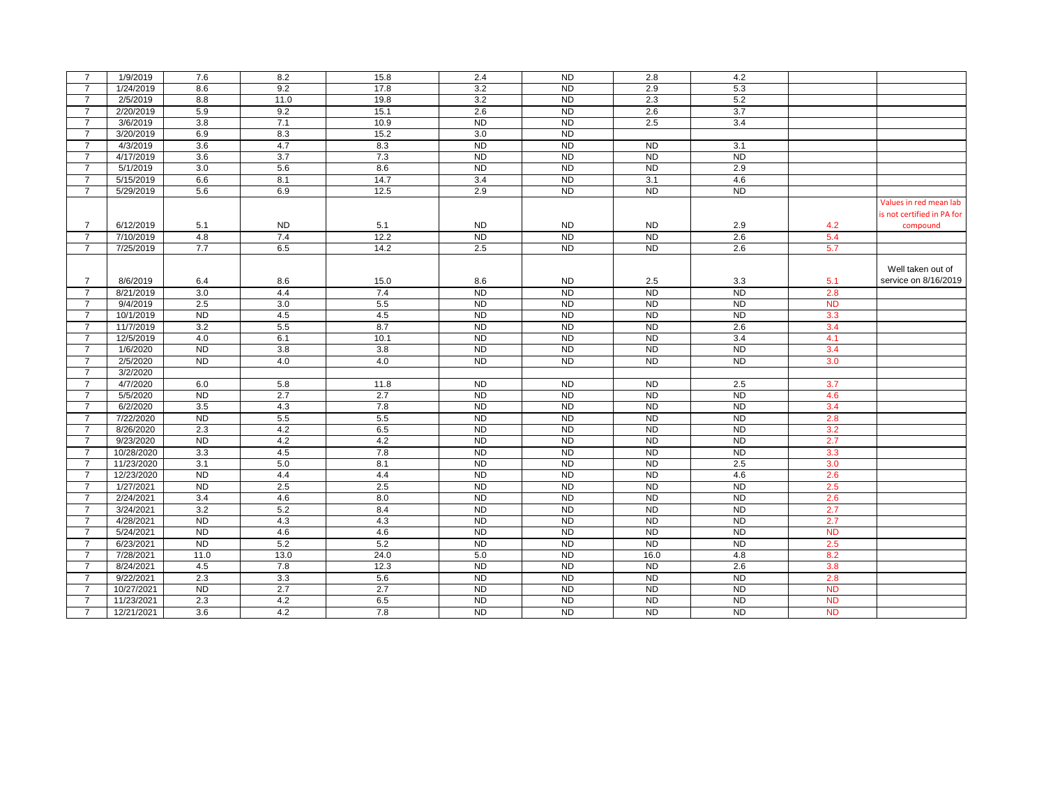| $\overline{7}$ | 1/9/2019   | 7.6            | 8.2       | 15.8 | 2.4       | <b>ND</b>      | 2.8            | 4.2            |           |                            |
|----------------|------------|----------------|-----------|------|-----------|----------------|----------------|----------------|-----------|----------------------------|
| $\overline{7}$ | 1/24/2019  | 8.6            | 9.2       | 17.8 | 3.2       | <b>ND</b>      | 2.9            | 5.3            |           |                            |
| $\overline{7}$ | 2/5/2019   | 8.8            | 11.0      | 19.8 | 3.2       | <b>ND</b>      | 2.3            | 5.2            |           |                            |
| $\overline{7}$ | 2/20/2019  | 5.9            | 9.2       | 15.1 | 2.6       | <b>ND</b>      | 2.6            | 3.7            |           |                            |
| $\overline{7}$ | 3/6/2019   | 3.8            | 7.1       | 10.9 | <b>ND</b> | <b>ND</b>      | 2.5            | 3.4            |           |                            |
| $\overline{7}$ | 3/20/2019  | 6.9            | 8.3       | 15.2 | 3.0       | <b>ND</b>      |                |                |           |                            |
| $\overline{7}$ | 4/3/2019   | 3.6            | 4.7       | 8.3  | <b>ND</b> | <b>ND</b>      | <b>ND</b>      | 3.1            |           |                            |
| $\overline{7}$ | 4/17/2019  | 3.6            | 3.7       | 7.3  | <b>ND</b> | <b>ND</b>      | <b>ND</b>      | <b>ND</b>      |           |                            |
| $\overline{7}$ | 5/1/2019   | 3.0            | 5.6       | 8.6  | <b>ND</b> | <b>ND</b>      | <b>ND</b>      | 2.9            |           |                            |
| $\overline{7}$ | 5/15/2019  | 6.6            | 8.1       | 14.7 | 3.4       | <b>ND</b>      | 3.1            | 4.6            |           |                            |
| $\overline{7}$ | 5/29/2019  | 5.6            | 6.9       | 12.5 | 2.9       | <b>ND</b>      | N <sub>D</sub> | <b>ND</b>      |           |                            |
|                |            |                |           |      |           |                |                |                |           | Values in red mean lab     |
|                |            |                |           |      |           |                |                |                |           | is not certified in PA for |
| $\overline{7}$ | 6/12/2019  | 5.1            | <b>ND</b> | 5.1  | <b>ND</b> | <b>ND</b>      | <b>ND</b>      | 2.9            | 4.2       | compound                   |
| $\overline{7}$ | 7/10/2019  | 4.8            | 7.4       | 12.2 | <b>ND</b> | <b>ND</b>      | <b>ND</b>      | 2.6            | 5.4       |                            |
| $\overline{7}$ | 7/25/2019  | 7.7            | 6.5       | 14.2 | 2.5       | N <sub>D</sub> | ND             | 2.6            | 5.7       |                            |
|                |            |                |           |      |           |                |                |                |           |                            |
|                |            |                |           |      |           |                |                |                |           | Well taken out of          |
| $\overline{7}$ | 8/6/2019   | 6.4            | 8.6       | 15.0 | 8.6       | <b>ND</b>      | 2.5            | 3.3            | 5.1       | service on 8/16/2019       |
| $\overline{7}$ | 8/21/2019  | 3.0            | 4.4       | 7.4  | <b>ND</b> | <b>ND</b>      | <b>ND</b>      | <b>ND</b>      | 2.8       |                            |
| $\overline{7}$ | 9/4/2019   | 2.5            | 3.0       | 5.5  | <b>ND</b> | <b>ND</b>      | <b>ND</b>      | <b>ND</b>      | <b>ND</b> |                            |
| $\overline{7}$ | 10/1/2019  | <b>ND</b>      | 4.5       | 4.5  | <b>ND</b> | <b>ND</b>      | <b>ND</b>      | <b>ND</b>      | 3.3       |                            |
| $\overline{7}$ | 11/7/2019  | 3.2            | 5.5       | 8.7  | <b>ND</b> | <b>ND</b>      | <b>ND</b>      | 2.6            | 3.4       |                            |
| $\overline{7}$ | 12/5/2019  | 4.0            | 6.1       | 10.1 | <b>ND</b> | N <sub>D</sub> | <b>ND</b>      | 3.4            | 4.1       |                            |
| $\overline{7}$ | 1/6/2020   | N <sub>D</sub> | 3.8       | 3.8  | ND        | N <sub>D</sub> | N <sub>D</sub> | N <sub>D</sub> | 3.4       |                            |
| $\overline{7}$ | 2/5/2020   | <b>ND</b>      | 4.0       | 4.0  | <b>ND</b> | <b>ND</b>      | <b>ND</b>      | <b>ND</b>      | 3.0       |                            |
| $\overline{7}$ | 3/2/2020   |                |           |      |           |                |                |                |           |                            |
| $\overline{7}$ | 4/7/2020   | 6.0            | 5.8       | 11.8 | <b>ND</b> | <b>ND</b>      | <b>ND</b>      | 2.5            | 3.7       |                            |
| $\overline{7}$ | 5/5/2020   | N <sub>D</sub> | 2.7       | 2.7  | <b>ND</b> | <b>ND</b>      | <b>ND</b>      | <b>ND</b>      | 4.6       |                            |
| $\overline{7}$ | 6/2/2020   | 3.5            | 4.3       | 7.8  | ND        | N <sub>D</sub> | ND             | N <sub>D</sub> | 3.4       |                            |
| $\overline{7}$ | 7/22/2020  | N <sub>D</sub> | 5.5       | 5.5  | <b>ND</b> | N <sub>D</sub> | ND             | <b>ND</b>      | 2.8       |                            |
| $\overline{7}$ | 8/26/2020  | 2.3            | 4.2       | 6.5  | <b>ND</b> | N <sub>D</sub> | N <sub>D</sub> | N <sub>D</sub> | 3.2       |                            |
| $\overline{7}$ | 9/23/2020  | <b>ND</b>      | 4.2       | 4.2  | <b>ND</b> | <b>ND</b>      | <b>ND</b>      | <b>ND</b>      | 2.7       |                            |
| $\overline{7}$ | 10/28/2020 | 3.3            | 4.5       | 7.8  | <b>ND</b> | <b>ND</b>      | <b>ND</b>      | <b>ND</b>      | 3.3       |                            |
| $\overline{7}$ | 11/23/2020 | 3.1            | 5.0       | 8.1  | <b>ND</b> | <b>ND</b>      | <b>ND</b>      | 2.5            | 3.0       |                            |
| $\overline{7}$ | 12/23/2020 | N <sub>D</sub> | 4.4       | 4.4  | <b>ND</b> | <b>ND</b>      | <b>ND</b>      | 4.6            | 2.6       |                            |
| $\overline{7}$ | 1/27/2021  | <b>ND</b>      | 2.5       | 2.5  | <b>ND</b> | <b>ND</b>      | <b>ND</b>      | <b>ND</b>      | 2.5       |                            |
| $\overline{7}$ | 2/24/2021  | 3.4            | 4.6       | 8.0  | <b>ND</b> | <b>ND</b>      | <b>ND</b>      | <b>ND</b>      | 2.6       |                            |
| $\overline{7}$ | 3/24/2021  | 3.2            | 5.2       | 8.4  | <b>ND</b> | <b>ND</b>      | <b>ND</b>      | <b>ND</b>      | 2.7       |                            |
| $\overline{7}$ | 4/28/2021  | <b>ND</b>      | 4.3       | 4.3  | <b>ND</b> | <b>ND</b>      | <b>ND</b>      | <b>ND</b>      | 2.7       |                            |
| $\overline{7}$ | 5/24/2021  | <b>ND</b>      | 4.6       | 4.6  | <b>ND</b> | <b>ND</b>      | <b>ND</b>      | <b>ND</b>      | <b>ND</b> |                            |
| $\overline{7}$ | 6/23/2021  | <b>ND</b>      | 5.2       | 5.2  | <b>ND</b> | <b>ND</b>      | <b>ND</b>      | <b>ND</b>      | 2.5       |                            |
| $\overline{7}$ | 7/28/2021  | 11.0           | 13.0      | 24.0 | 5.0       | N <sub>D</sub> | 16.0           | 4.8            | 8.2       |                            |
| $\overline{7}$ | 8/24/2021  | 4.5            | 7.8       | 12.3 | <b>ND</b> | <b>ND</b>      | <b>ND</b>      | 2.6            | 3.8       |                            |
| $\overline{7}$ | 9/22/2021  | 2.3            | 3.3       | 5.6  | <b>ND</b> | <b>ND</b>      | <b>ND</b>      | N <sub>D</sub> | 2.8       |                            |
| $\overline{7}$ | 10/27/2021 | <b>ND</b>      | 2.7       | 2.7  | <b>ND</b> | <b>ND</b>      | <b>ND</b>      | <b>ND</b>      | <b>ND</b> |                            |
| $\overline{7}$ | 11/23/2021 | 2.3            | 4.2       | 6.5  | <b>ND</b> | <b>ND</b>      | <b>ND</b>      | <b>ND</b>      | <b>ND</b> |                            |
| $\overline{7}$ | 12/21/2021 | 3.6            | 4.2       | 7.8  | <b>ND</b> | <b>ND</b>      | <b>ND</b>      | <b>ND</b>      | <b>ND</b> |                            |
|                |            |                |           |      |           |                |                |                |           |                            |